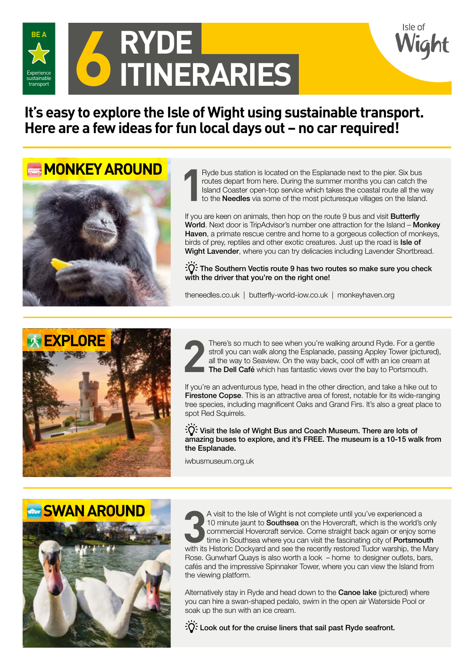

**It's easy to explore the Isle of Wight using sustainable transport. Here are a few ideas for fun local days out – no car required!**

**MONKEY AROUND** 



**1** Ryde bus station is located on the Esplanade next to the pier. Six bus routes depart from here. During the summer months you can catch the Island Coaster open-top service which takes the coastal route all the way to the Needles via some of the most picturesque villages on the Island.

If you are keen on animals, then hop on the route 9 bus and visit **Butterfly** World. Next door is TripAdvisor's number one attraction for the Island – Monkey Haven, a primate rescue centre and home to a gorgeous collection of monkeys, birds of prey, reptiles and other exotic creatures. Just up the road is Isle of Wight Lavender, where you can try delicacies including Lavender Shortbread.

 $\overrightarrow{C}$ : The Southern Vectis route 9 has two routes so make sure you check with the driver that you're on the right one!

theneedles.co.uk | butterfly-world-iow.co.uk | monkeyhaven.org





There's so much to see when you're walking around Ryde. For a gentle stroll you can walk along the Esplanade, passing Appley Tower (pictured all the way to Seaview. On the way back, cool off with an ice cream at **The Dell** stroll you can walk along the Esplanade, passing Appley Tower (pictured), all the way to Seaview. On the way back, cool off with an ice cream at The Dell Café which has fantastic views over the bay to Portsmouth.

If you're an adventurous type, head in the other direction, and take a hike out to Firestone Copse. This is an attractive area of forest, notable for its wide-ranging tree species, including magnificent Oaks and Grand Firs. It's also a great place to spot Red Squirrels.

 $\sqrt{2}$ . Visit the Isle of Wight Bus and Coach Museum. There are lots of amazing buses to explore, and it's FREE. The museum is a 10-15 walk from the Esplanade.

iwbusmuseum.org.uk



A visit to the Isle of Wight is not complete until you've experienced a<br>
10 minute jaunt to **Southsea** on the Hovercraft, which is the world's only<br>
commercial Hovercraft service. Come straight back again or enjoy some<br>
ti A visit to the Isle of Wight is not complete until you've experienced a 10 minute jaunt to **Southsea** on the Hovercraft, which is the world's only commercial Hovercraft service. Come straight back again or enjoy some time in Southsea where you can visit the fascinating city of Portsmouth Rose. Gunwharf Quays is also worth a look – home to designer outlets, bars, cafés and the impressive Spinnaker Tower, where you can view the Island from the viewing platform.

Alternatively stay in Ryde and head down to the **Canoe lake** (pictured) where you can hire a swan-shaped pedalo, swim in the open air Waterside Pool or soak up the sun with an ice cream.

 $\partial \widetilde{C}$ : Look out for the cruise liners that sail past Ryde seafront.